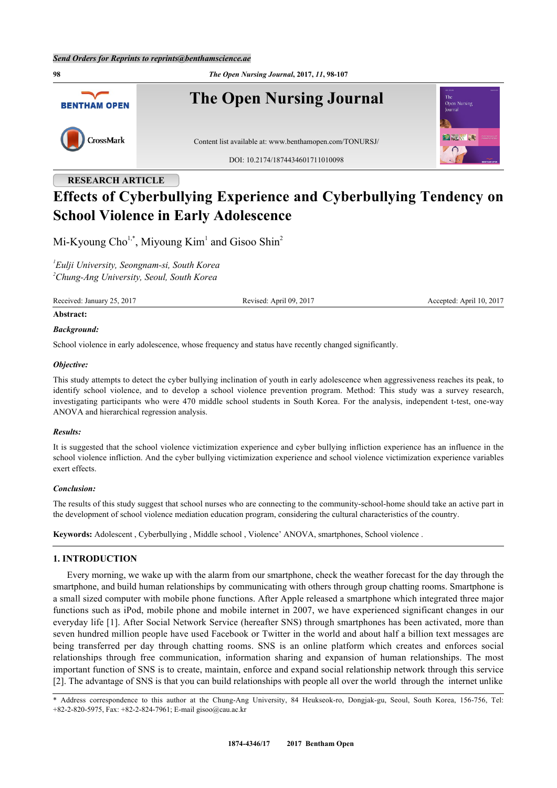**98** *The Open Nursing Journal***, 2017,** *11***, 98-107 The Open Nursing Journal BENTHAM OPEN** CrossMark Content list available at: [www.benthamopen.com/TONURSJ/](http://www.benthamopen.com/TONURSJ/) DOI: [10.2174/1874434601711010098](http://dx.doi.org/10.2174/1874434601711010098)

# **RESEARCH ARTICLE Effects of Cyberbullying Experience and Cyberbullying Tendency on School Violence in Early Adolescence**

Mi-Kyoung Cho<sup>[1,](#page-0-0)\*</sup>, Miyoung Kim<sup>[1](#page-0-0)</sup> and Gisoo Shin<sup>[2](#page-0-1)</sup>

<span id="page-0-1"></span><span id="page-0-0"></span>*1 Eulji University, Seongnam-si, South Korea <sup>2</sup>Chung-Ang University, Seoul, South Korea*

Received: January 25, 2017 Revised: April 09, 2017 Accepted: April 10, 2017

#### **Abstract:**

#### *Background:*

School violence in early adolescence, whose frequency and status have recently changed significantly.

#### *Objective:*

This study attempts to detect the cyber bullying inclination of youth in early adolescence when aggressiveness reaches its peak, to identify school violence, and to develop a school violence prevention program. Method: This study was a survey research, investigating participants who were 470 middle school students in South Korea. For the analysis, independent t-test, one-way ANOVA and hierarchical regression analysis.

#### *Results:*

It is suggested that the school violence victimization experience and cyber bullying infliction experience has an influence in the school violence infliction. And the cyber bullying victimization experience and school violence victimization experience variables exert effects.

# *Conclusion:*

The results of this study suggest that school nurses who are connecting to the community-school-home should take an active part in the development of school violence mediation education program, considering the cultural characteristics of the country.

**Keywords:** Adolescent , Cyberbullying , Middle school , Violence' ANOVA, smartphones, School violence .

# **1. INTRODUCTION**

Every morning, we wake up with the alarm from our smartphone, check the weather forecast for the day through the smartphone, and build human relationships by communicating with others through group chatting rooms. Smartphone is a small sized computer with mobile phone functions. After Apple released a smartphone which integrated three major functions such as iPod, mobile phone and mobile internet in 2007, we have experienced significant changes in our everyday life [\[1\]](#page-8-0). After Social Network Service (hereafter SNS) through smartphones has been activated, more than seven hundred million people have used Facebook or Twitter in the world and about half a billion text messages are being transferred per day through chatting rooms. SNS is an online platform which creates and enforces social relationships through free communication, information sharing and expansion of human relationships. The most important function of SNS is to create, maintain, enforce and expand social relationship network through this service [\[2](#page-8-1)]. The advantage of SNS is that you can build relationships with people all over the world through the internet unlike

\* Address correspondence to this author at the Chung-Ang University, 84 Heukseok-ro, Dongjak-gu, Seoul, South Korea, 156-756, Tel: +82-2-820-5975, Fax: +82-2-824-7961; E-mail [gisoo@cau.ac.kr](mailto:gisoo@cau.ac.kr)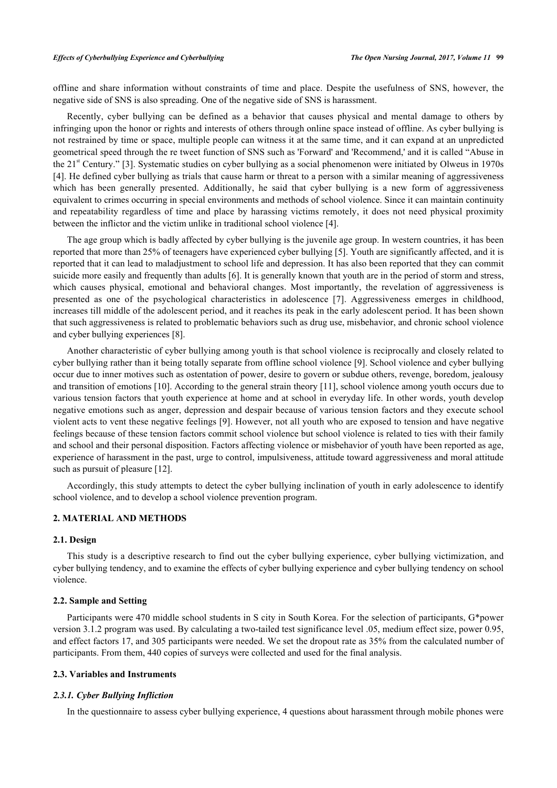offline and share information without constraints of time and place. Despite the usefulness of SNS, however, the negative side of SNS is also spreading. One of the negative side of SNS is harassment.

Recently, cyber bullying can be defined as a behavior that causes physical and mental damage to others by infringing upon the honor or rights and interests of others through online space instead of offline. As cyber bullying is not restrained by time or space, multiple people can witness it at the same time, and it can expand at an unpredicted geometrical speed through the re tweet function of SNS such as 'Forward' and 'Recommend,' and it is called "Abuse in the 21<sup>st</sup> Century." [[3](#page-8-2)]. Systematic studies on cyber bullying as a social phenomenon were initiated by Olweus in 1970s [\[4](#page-8-3)]. He defined cyber bullying as trials that cause harm or threat to a person with a similar meaning of aggressiveness which has been generally presented. Additionally, he said that cyber bullying is a new form of aggressiveness equivalent to crimes occurring in special environments and methods of school violence. Since it can maintain continuity and repeatability regardless of time and place by harassing victims remotely, it does not need physical proximity between the inflictor and the victim unlike in traditional school violence [\[4](#page-8-3)].

The age group which is badly affected by cyber bullying is the juvenile age group. In western countries, it has been reported that more than 25% of teenagers have experienced cyber bullying [\[5](#page-8-4)]. Youth are significantly affected, and it is reported that it can lead to maladjustment to school life and depression. It has also been reported that they can commit suicide more easily and frequently than adults [[6\]](#page-8-5). It is generally known that youth are in the period of storm and stress, which causes physical, emotional and behavioral changes. Most importantly, the revelation of aggressiveness is presented as one of the psychological characteristics in adolescence [\[7\]](#page-8-6). Aggressiveness emerges in childhood, increases till middle of the adolescent period, and it reaches its peak in the early adolescent period. It has been shown that such aggressiveness is related to problematic behaviors such as drug use, misbehavior, and chronic school violence and cyber bullying experiences [\[8](#page-8-7)].

Another characteristic of cyber bullying among youth is that school violence is reciprocally and closely related to cyber bullying rather than it being totally separate from offline school violence [[9](#page-8-8)]. School violence and cyber bullying occur due to inner motives such as ostentation of power, desire to govern or subdue others, revenge, boredom, jealousy and transition of emotions [\[10](#page-8-9)]. According to the general strain theory [[11\]](#page-8-10), school violence among youth occurs due to various tension factors that youth experience at home and at school in everyday life. In other words, youth develop negative emotions such as anger, depression and despair because of various tension factors and they execute school violent acts to vent these negative feelings [[9\]](#page-8-8). However, not all youth who are exposed to tension and have negative feelings because of these tension factors commit school violence but school violence is related to ties with their family and school and their personal disposition. Factors affecting violence or misbehavior of youth have been reported as age, experience of harassment in the past, urge to control, impulsiveness, attitude toward aggressiveness and moral attitude such as pursuit of pleasure [[12\]](#page-9-0).

Accordingly, this study attempts to detect the cyber bullying inclination of youth in early adolescence to identify school violence, and to develop a school violence prevention program.

# **2. MATERIAL AND METHODS**

# **2.1. Design**

This study is a descriptive research to find out the cyber bullying experience, cyber bullying victimization, and cyber bullying tendency, and to examine the effects of cyber bullying experience and cyber bullying tendency on school violence.

#### **2.2. Sample and Setting**

Participants were 470 middle school students in S city in South Korea. For the selection of participants, G\*power version 3.1.2 program was used. By calculating a two-tailed test significance level .05, medium effect size, power 0.95, and effect factors 17, and 305 participants were needed. We set the dropout rate as 35% from the calculated number of participants. From them, 440 copies of surveys were collected and used for the final analysis.

#### **2.3. Variables and Instruments**

#### *2.3.1. Cyber Bullying Infliction*

In the questionnaire to assess cyber bullying experience, 4 questions about harassment through mobile phones were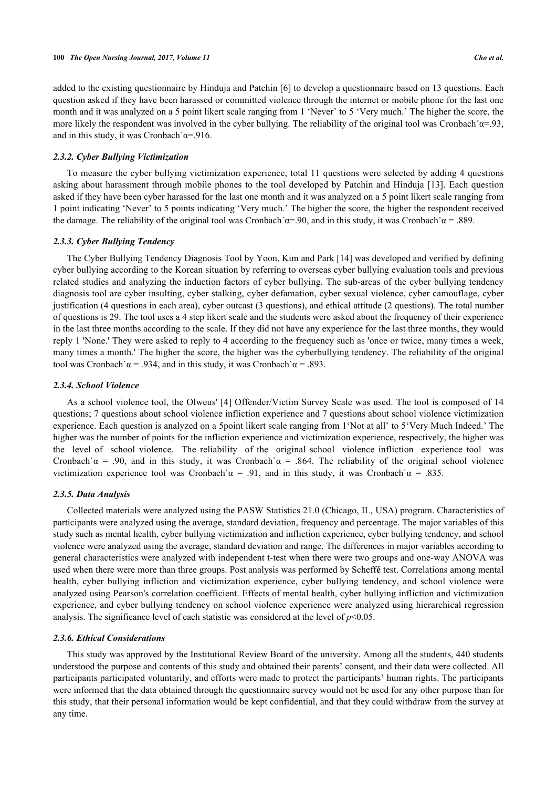added to the existing questionnaire by Hinduja and Patchin [[6\]](#page-8-5) to develop a questionnaire based on 13 questions. Each question asked if they have been harassed or committed violence through the internet or mobile phone for the last one month and it was analyzed on a 5 point likert scale ranging from 1 'Never' to 5 'Very much.' The higher the score, the more likely the respondent was involved in the cyber bullying. The reliability of the original tool was Cronbach´ $\alpha$ =.93, and in this study, it was Cronbach' $\alpha$ =.916.

#### *2.3.2. Cyber Bullying Victimization*

To measure the cyber bullying victimization experience, total 11 questions were selected by adding 4 questions asking about harassment through mobile phones to the tool developed by Patchin and Hinduja [\[13\]](#page-9-1). Each question asked if they have been cyber harassed for the last one month and it was analyzed on a 5 point likert scale ranging from 1 point indicating 'Never' to 5 points indicating 'Very much.' The higher the score, the higher the respondent received the damage. The reliability of the original tool was Cronbach´ $\alpha$ =.90, and in this study, it was Cronbach´ $\alpha$  = .889.

## *2.3.3. Cyber Bullying Tendency*

The Cyber Bullying Tendency Diagnosis Tool by Yoon, Kim and Park [\[14](#page-9-2)] was developed and verified by defining cyber bullying according to the Korean situation by referring to overseas cyber bullying evaluation tools and previous related studies and analyzing the induction factors of cyber bullying. The sub-areas of the cyber bullying tendency diagnosis tool are cyber insulting, cyber stalking, cyber defamation, cyber sexual violence, cyber camouflage, cyber justification (4 questions in each area), cyber outcast (3 questions), and ethical attitude (2 questions). The total number of questions is 29. The tool uses a 4 step likert scale and the students were asked about the frequency of their experience in the last three months according to the scale. If they did not have any experience for the last three months, they would reply 1 'None.' They were asked to reply to 4 according to the frequency such as 'once or twice, many times a week, many times a month.' The higher the score, the higher was the cyberbullying tendency. The reliability of the original tool was Cronbach`α = .934, and in this study, it was Cronbach`α = .893.

#### *2.3.4. School Violence*

As a school violence tool, the Olweus' [\[4](#page-8-3)] Offender/Victim Survey Scale was used. The tool is composed of 14 questions; 7 questions about school violence infliction experience and 7 questions about school violence victimization experience. Each question is analyzed on a 5point likert scale ranging from 1'Not at all' to 5'Very Much Indeed.' The higher was the number of points for the infliction experience and victimization experience, respectively, the higher was the level of school violence. The reliability of the original school violence infliction experience tool was Cronbach` $\alpha$  = .90, and in this study, it was Cronbach` $\alpha$  = .864. The reliability of the original school violence victimization experience tool was Cronbach`α = .91, and in this study, it was Cronbach`α = .835.

#### *2.3.5. Data Analysis*

Collected materials were analyzed using the PASW Statistics 21.0 (Chicago, IL, USA) program. Characteristics of participants were analyzed using the average, standard deviation, frequency and percentage. The major variables of this study such as mental health, cyber bullying victimization and infliction experience, cyber bullying tendency, and school violence were analyzed using the average, standard deviation and range. The differences in major variables according to general characteristics were analyzed with independent t-test when there were two groups and one-way ANOVA was used when there were more than three groups. Post analysis was performed by Scheff**é** test. Correlations among mental health, cyber bullying infliction and victimization experience, cyber bullying tendency, and school violence were analyzed using Pearson's correlation coefficient. Effects of mental health, cyber bullying infliction and victimization experience, and cyber bullying tendency on school violence experience were analyzed using hierarchical regression analysis. The significance level of each statistic was considered at the level of *p*<0.05.

## *2.3.6. Ethical Considerations*

This study was approved by the Institutional Review Board of the university. Among all the students, 440 students understood the purpose and contents of this study and obtained their parents' consent, and their data were collected. All participants participated voluntarily, and efforts were made to protect the participants' human rights. The participants were informed that the data obtained through the questionnaire survey would not be used for any other purpose than for this study, that their personal information would be kept confidential, and that they could withdraw from the survey at any time.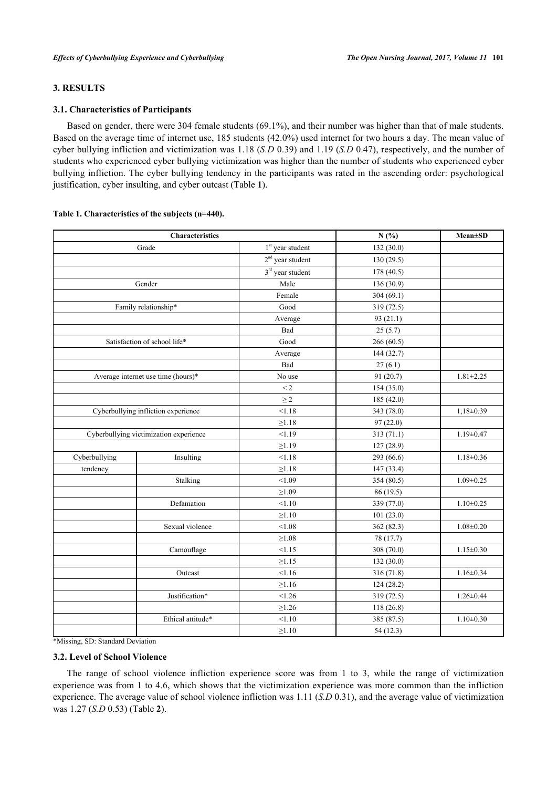# **3. RESULTS**

## **3.1. Characteristics of Participants**

Based on gender, there were 304 female students (69.1%), and their number was higher than that of male students. Based on the average time of internet use, 185 students (42.0%) used internet for two hours a day. The mean value of cyber bullying infliction and victimization was 1.18 (*S.D* 0.39) and 1.19 (*S.D* 0.47), respectively, and the number of students who experienced cyber bullying victimization was higher than the number of students who experienced cyber bullying infliction. The cyber bullying tendency in the participants was rated in the ascending order: psychological justification, cyber insulting, and cyber outcast (Table **[1](#page-3-0)**).

|               | Characteristics                        | N(%)               | <b>Mean</b> ±SD |                 |
|---------------|----------------------------------------|--------------------|-----------------|-----------------|
|               | Grade                                  | $1st$ year student | 132 (30.0)      |                 |
|               |                                        | $2nd$ year student | 130(29.5)       |                 |
|               |                                        | $3rd$ year student | 178 (40.5)      |                 |
|               | Gender                                 | Male               | 136 (30.9)      |                 |
|               |                                        | Female             | 304(69.1)       |                 |
|               | Family relationship*                   | Good               | 319 (72.5)      |                 |
|               |                                        | Average            | 93(21.1)        |                 |
|               |                                        | Bad                | 25(5.7)         |                 |
|               | Satisfaction of school life*           | Good               | 266(60.5)       |                 |
|               |                                        | Average            | 144 (32.7)      |                 |
|               |                                        | Bad                | 27(6.1)         |                 |
|               | Average internet use time (hours)*     | No use             | 91 (20.7)       | $1.81 \pm 2.25$ |
|               |                                        | $\leq 2$           | 154 (35.0)      |                 |
|               |                                        | $\geq$ 2           | 185 (42.0)      |                 |
|               | Cyberbullying infliction experience    | < 1.18             | 343 (78.0)      | $1,18\pm0.39$   |
|               |                                        | $\geq 1.18$        | 97(22.0)        |                 |
|               | Cyberbullying victimization experience | < 1.19             | 313 (71.1)      | $1.19 \pm 0.47$ |
|               |                                        | $\geq 1.19$        | 127 (28.9)      |                 |
| Cyberbullying | Insulting                              | < 1.18             | 293 (66.6)      | $1.18 \pm 0.36$ |
| tendency      |                                        | ${\geq}1.18$       | 147 (33.4)      |                 |
|               | Stalking                               | < 1.09             | 354 (80.5)      | $1.09 \pm 0.25$ |
|               |                                        | $\geq 1.09$        | 86 (19.5)       |                 |
|               | Defamation                             | < 1.10             | 339 (77.0)      | $1.10 \pm 0.25$ |
|               |                                        | $\geq 1.10$        | 101(23.0)       |                 |
|               | Sexual violence                        | < 1.08             | 362 (82.3)      | $1.08 \pm 0.20$ |
|               |                                        | ${\ge}1.08$        | 78 (17.7)       |                 |
|               | Camouflage                             | < 1.15             | 308 (70.0)      | $1.15 \pm 0.30$ |
|               |                                        | $\geq 1.15$        | 132 (30.0)      |                 |
|               | Outcast                                | < 1.16             | 316 (71.8)      | $1.16 \pm 0.34$ |
|               |                                        | $\geq 1.16$        | 124(28.2)       |                 |
|               | Justification*                         | < 1.26             | 319 (72.5)      | $1.26 \pm 0.44$ |
|               |                                        | $\geq$ 1.26        | 118(26.8)       |                 |
|               | Ethical attitude*                      | < 1.10             | 385 (87.5)      | $1.10 \pm 0.30$ |
|               |                                        | ${\ge}1.10$        | 54 (12.3)       |                 |

#### <span id="page-3-0"></span>**Table 1. Characteristics of the subjects (n=440).**

\*Missing, SD: Standard Deviation

#### **3.2. Level of School Violence**

<span id="page-3-1"></span>The range of school violence infliction experience score was from 1 to 3, while the range of victimization experience was from 1 to 4.6, which shows that the victimization experience was more common than the infliction experience. The average value of school violence infliction was 1.11 (*S.D* 0.31), and the average value of victimization was 1.27 (*S.D* 0.53) (Table **[2](#page-3-1)**).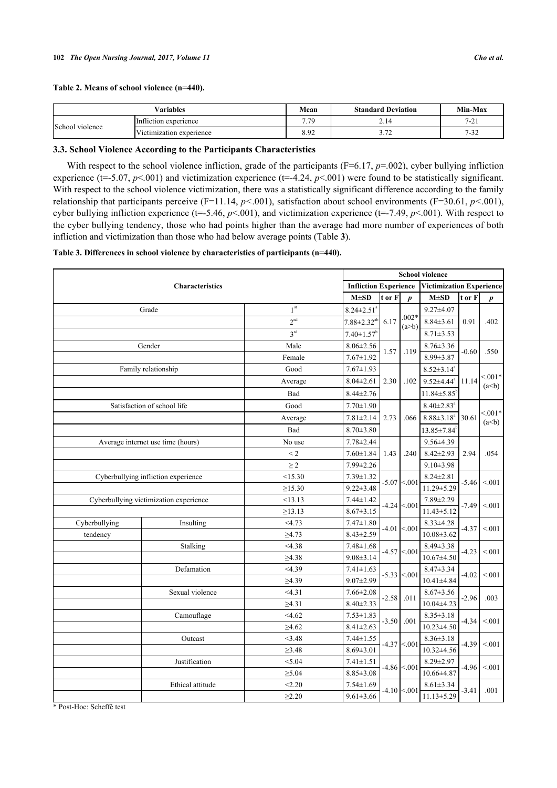## **Table 2. Means of school violence (n=440).**

|                 | Variables                | Mean                             | <b>Standard Deviation</b> | Min-Max          |
|-----------------|--------------------------|----------------------------------|---------------------------|------------------|
| School violence | Infliction experience    | 7.79<br>$\overline{\phantom{a}}$ | 2.14                      | 7.21<br>$-21$    |
|                 | Victimization experience | 8.92                             | $\sim$<br><b>_</b>        | 7.22<br>$1 - 52$ |

# **3.3. School Violence According to the Participants Characteristics**

With respect to the school violence infliction, grade of the participants (F=6.17, *p*=.002), cyber bullying infliction experience ( $t=5.07, p<001$ ) and victimization experience ( $t=4.24, p<001$ ) were found to be statistically significant. With respect to the school violence victimization, there was a statistically significant difference according to the family relationship that participants perceive (F=11.14, *p<*.001), satisfaction about school environments (F=30.61, *p<*.001), cyber bullying infliction experience (t=-5.46,  $p<0.01$ ), and victimization experience (t=-7.49,  $p<0.01$ ). With respect to the cyber bullying tendency, those who had points higher than the average had more number of experiences of both infliction and victimization than those who had below average points (Table **[3](#page-4-0)**).

# <span id="page-4-0"></span>**Table 3. Differences in school violence by characteristics of participants (n=440).**

|               | <b>School violence</b>                 |                              |                               |         |                                 |                               |         |                     |  |
|---------------|----------------------------------------|------------------------------|-------------------------------|---------|---------------------------------|-------------------------------|---------|---------------------|--|
|               | <b>Characteristics</b>                 | <b>Infliction Experience</b> |                               |         | <b>Victimization Experience</b> |                               |         |                     |  |
|               |                                        |                              | $M\pm SD$                     | t or F  | $\boldsymbol{p}$                | $M \pm SD$                    | t or F  | $\boldsymbol{p}$    |  |
|               | Grade                                  | 1 <sup>st</sup>              | $8.24 \pm 2.51$ <sup>a</sup>  |         |                                 | $9.27 \pm 4.07$               |         |                     |  |
|               |                                        | 2 <sup>nd</sup>              | $7.88 \pm 2.32$ <sup>ab</sup> | 6.17    | $.002*$<br>(a>b)                | $8.84 \pm 3.61$               | 0.91    | .402                |  |
|               |                                        | 3 <sup>rd</sup>              | $7.40 \pm 1.57$ <sup>b</sup>  |         |                                 | $8.71 \pm 3.53$               |         |                     |  |
|               | Gender                                 | Male                         | $8.06 \pm 2.56$               |         |                                 | $8.76 \pm 3.36$               |         |                     |  |
|               |                                        | Female                       | $7.67 \pm 1.92$               | 1.57    | .119                            | $8.99 \pm 3.87$               | $-0.60$ | .550                |  |
|               | Family relationship                    | Good                         | $7.67 \pm 1.93$               |         |                                 | $8.52 \pm 3.14^a$             |         |                     |  |
|               |                                        | Average                      | $8.04 \pm 2.61$               | 2.30    | .102                            | $9.52 \pm 4.44$ <sup>a</sup>  | 11.14   | $< 0.01*$<br>(a< b) |  |
|               |                                        | Bad                          | $8.44 \pm 2.76$               |         |                                 | $11.84 \pm 5.85$ <sup>t</sup> |         |                     |  |
|               | Satisfaction of school life            | Good                         | $7.70 \pm 1.90$               |         |                                 | $8.40 \pm 2.83$ <sup>a</sup>  | 30.61   |                     |  |
|               |                                        | Average                      | $7.81 \pm 2.14$               | 2.73    | .066                            | $8.88 \pm 3.18^a$             |         | $< 0.01*$<br>(a< b) |  |
|               |                                        | Bad                          | $8.70 \pm 3.80$               |         |                                 | $13.85 \pm 7.84$ <sup>t</sup> |         |                     |  |
|               | Average internet use time (hours)      | No use                       | $7.78 \pm 2.44$               |         |                                 | 9.56±4.39                     | 2.94    | .054                |  |
|               |                                        | $\leq$ 2                     | $7.60 \pm 1.84$               | 1.43    | .240                            | $8.42 \pm 2.93$               |         |                     |  |
|               |                                        | $\geq$ 2                     | 7.99±2.26                     |         |                                 | $9.10 \pm 3.98$               |         |                     |  |
|               | Cyberbullying infliction experience    | < 15.30                      | $7.39 \pm 1.32$               |         | $-5.07$ < 001                   | $8.24 \pm 2.81$               |         |                     |  |
|               |                                        | $\geq$ 15.30                 | $9.22 \pm 3.48$               |         |                                 | $11.29 \pm 5.29$              | $-5.46$ | < 0.01              |  |
|               | Cyberbullying victimization experience | <13.13                       | $7.44 \pm 1.42$               |         | $-4.24$ < 001                   | $7.89 \pm 2.29$               | $-7.49$ | < 0.01              |  |
|               |                                        | $\geq$ 13.13                 | $8.67 \pm 3.15$               |         |                                 | $11.43 \pm 5.12$              |         |                     |  |
| Cyberbullying | Insulting                              | $<$ 4.73                     | $7.47 \pm 1.80$               |         | $-4.01 \le 0.001$               | $8.33 \pm 4.28$               | $-4.37$ | < 0.01              |  |
| tendency      |                                        | $\geq 4.73$                  | $8.43 \pm 2.59$               |         |                                 | $10.08 \pm 3.62$              |         | < 0.01<br>< 0.01    |  |
|               | Stalking                               | <4.38                        | $7.48 \pm 1.68$               |         | $-4.57$ <.001                   | $8.49 \pm 3.38$               | $-4.23$ |                     |  |
|               |                                        | $\geq 4.38$                  | $9.08 \pm 3.14$               |         |                                 | $10.67 \pm 4.50$              |         |                     |  |
|               | Defamation                             | <4.39                        | $7.41 \pm 1.63$               |         | $-5.33 \le 0.01$                | $8.47 \pm 3.34$               | $-4.02$ |                     |  |
|               |                                        | $\geq 4.39$                  | $9.07 \pm 2.99$               |         |                                 | $10.41 \pm 4.84$              |         |                     |  |
|               | Sexual violence                        | < 4.31                       | $7.66 \pm 2.08$               | $-2.58$ | .011                            | $8.67 \pm 3.56$               | $-2.96$ | .003                |  |
|               |                                        | $\geq 4.31$                  | $8.40 \pm 2.33$               |         |                                 | $10.04 \pm 4.23$              |         |                     |  |
|               | Camouflage                             | <4.62                        | $7.53 \pm 1.83$               | $-3.50$ | .001                            | $8.35 \pm 3.18$               | $-4.34$ | < 0.01              |  |
|               |                                        | $\geq 4.62$                  | $8.41 \pm 2.63$               |         |                                 | $10.23 \pm 4.50$              |         |                     |  |
|               | Outcast                                | <3.48                        | $7.44 \pm 1.55$               |         | $-4.37 < 001$                   | $8.36 \pm 3.18$               | $-4.39$ | < 0.01              |  |
|               |                                        | $\geq 3.48$                  | $8.69 \pm 3.01$               |         |                                 | $10.32 \pm 4.56$              |         |                     |  |
|               | Justification                          | < 5.04                       | $7.41 \pm 1.51$               |         | $-4.86 < 001$                   | $8.29 \pm 2.97$               | $-4.96$ | < 0.01<br>.001      |  |
|               |                                        | $\geq 5.04$                  | $8.85 \pm 3.08$               |         |                                 | 10.66±4.87                    |         |                     |  |
|               | Ethical attitude                       | < 2.20                       | $7.54 \pm 1.69$               |         | $-4.10 \le 0.001$               | $8.61 \pm 3.34$               | $-3.41$ |                     |  |
|               |                                        | $\geq 2.20$                  | $9.61 \pm 3.66$               |         |                                 | $11.13 \pm 5.29$              |         |                     |  |

\* Post-Hoc: Scheffé test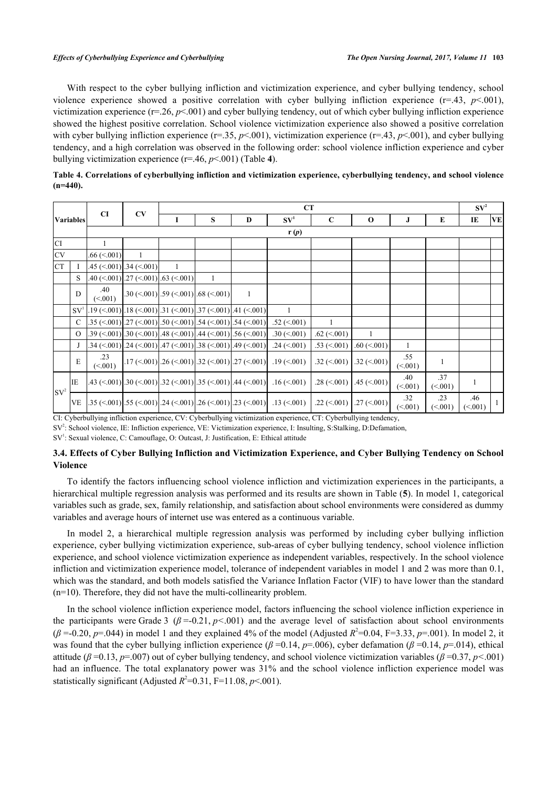With respect to the cyber bullying infliction and victimization experience, and cyber bullying tendency, school violence experience showed a positive correlation with cyber bullying infliction experience (r=.43, *p*<.001), victimization experience  $(r=.26, p<.001)$  and cyber bullying tendency, out of which cyber bullying infliction experience showed the highest positive correlation. School violence victimization experience also showed a positive correlation with cyber bullying infliction experience (r=.35, *p*<.001), victimization experience (r=.43, *p*<.001), and cyber bullying tendency, and a high correlation was observed in the following order: school violence infliction experience and cyber bullying victimization experience (r=.46, *p*<.001) (Table **[4](#page-5-0)**).

<span id="page-5-0"></span>

| Table 4. Correlations of cyberbullying infliction and victimization experience, cyberbullying tendency, and school violence |  |
|-----------------------------------------------------------------------------------------------------------------------------|--|
| $(n=440)$ .                                                                                                                 |  |

|           |                  |                                 |                                                               | CT |                                                                |                                                                                                                                                                     |                                |                                |                                |                 |                |                |              |  |
|-----------|------------------|---------------------------------|---------------------------------------------------------------|----|----------------------------------------------------------------|---------------------------------------------------------------------------------------------------------------------------------------------------------------------|--------------------------------|--------------------------------|--------------------------------|-----------------|----------------|----------------|--------------|--|
|           | <b>Variables</b> | <b>CI</b>                       | CV                                                            | 1  | S                                                              | D                                                                                                                                                                   | SV <sup>1</sup>                | $\mathbf C$                    | $\mathbf 0$                    | J               | E              | IE             | <b>VE</b>    |  |
|           |                  | r(p)                            |                                                               |    |                                                                |                                                                                                                                                                     |                                |                                |                                |                 |                |                |              |  |
| CI.       |                  | $\mathbf{1}$                    |                                                               |    |                                                                |                                                                                                                                                                     |                                |                                |                                |                 |                |                |              |  |
| <b>CV</b> |                  | $.66 \le 001$<br>$\overline{1}$ |                                                               |    |                                                                |                                                                                                                                                                     |                                |                                |                                |                 |                |                |              |  |
| <b>CT</b> | I                |                                 | $.45 \left( \le 0.001 \right)$ .34 $\left( \le 0.001 \right)$ |    |                                                                |                                                                                                                                                                     |                                |                                |                                |                 |                |                |              |  |
|           | S                |                                 | $.40 \le 001$ ].27 $\le 001$ ].63 $\le 001$ ]                 |    | -1                                                             |                                                                                                                                                                     |                                |                                |                                |                 |                |                |              |  |
|           | D                | .40<br>(< 001)                  |                                                               |    | $.30 \times (0.001)$ $.59 \times (0.001)$ $.68 \times (0.001)$ | $\mathbf{1}$                                                                                                                                                        |                                |                                |                                |                 |                |                |              |  |
|           | SV <sup>1</sup>  |                                 |                                                               |    |                                                                | $[.19 \ (-001) \ .18 \ (-001) \ .31 \ (-001) \ .37 \ (-001) \ .41 \ (-001)$                                                                                         | 1                              |                                |                                |                 |                |                |              |  |
|           | C                |                                 |                                                               |    |                                                                | $.35 \left( \le 0.001 \right)$ $.27 \left( \le 0.001 \right)$ $.50 \left( \le 0.001 \right)$ $.54 \left( \le 0.01 \right)$ $.54 \left( \le 0.001 \right)$           | $.52 \left( \le 0.001 \right)$ | 1                              |                                |                 |                |                |              |  |
|           | $\Omega$         |                                 |                                                               |    |                                                                | $.39 \left( \le 001 \right)$ .30 $\left( \le 001 \right)$ .48 $\left( \le 001 \right)$ .44 $\left( \le 001 \right)$ .56 $\left( \le 001 \right)$ .                  | $.30 \le 0.001$                | $.62 \left( \le 0.001 \right)$ |                                |                 |                |                |              |  |
|           | J                |                                 |                                                               |    |                                                                | $.34 \left( \le 001 \right)$ $.24 \left( \le 001 \right)$ $.47 \left( \le 001 \right)$ $.38 \left( \le 001 \right)$ $.49 \left( \le 001 \right)$                    | $.24 \left( \le 0.001 \right)$ | $.53 \left( \le 0.001 \right)$ | $.60 \le 001$                  | 1               |                |                |              |  |
|           | E                | .23<br>(<.001)                  |                                                               |    |                                                                | $.17 \left( \le 0.001 \right)$ , $26 \left( \le 0.001 \right)$ , $32 \left( \le 0.001 \right)$ , $27 \left( \le 0.001 \right)$                                      | $.19 \left( \le 0.001 \right)$ | $.32 \left( \le 0.001 \right)$ | $.32 \left( \le 0.001 \right)$ | .55<br>(< 001)  | $\mathbf{1}$   |                |              |  |
| $SV^2$    | IE               |                                 |                                                               |    |                                                                | .43 $(\leq 001)$ .30 $(\leq 001)$ .32 $(\leq 001)$ .35 $(\leq 001)$ .44 $(\leq 001)$                                                                                | $.16 \approx 001$              | $.28 \left( \le 0.001 \right)$ | $.45 \approx (001)$            | .40<br>(< 0.01) | .37<br>(<.001) | $\mathbf{1}$   |              |  |
|           | <b>VE</b>        |                                 |                                                               |    |                                                                | $35 \left( \le 001 \right) \left[ .55 \left( \le 001 \right) \right] 24 \left( \le 001 \right) \left[ .26 \left( \le 001 \right) \right] 23 \left( \le 001 \right)$ | $.13 \ (\le 001)$              | $.22$ (<.001)                  | $.27 \left( \le 0.001 \right)$ | .32<br>(<.001)  | .23<br>(<.001) | .46<br>(< 001) | $\mathbf{1}$ |  |

CI: Cyberbullying infliction experience, CV: Cyberbullying victimization experience, CT: Cyberbullying tendency,

SV<sup>2</sup>: School violence, IE: Infliction experience, VE: Victimization experience, I: Insulting, S:Stalking, D:Defamation,

SV<sup>1</sup>: Sexual violence, C: Camouflage, O: Outcast, J: Justification, E: Ethical attitude

# **3.4. Effects of Cyber Bullying Infliction and Victimization Experience, and Cyber Bullying Tendency on School Violence**

To identify the factors influencing school violence infliction and victimization experiences in the participants, a hierarchical multiple regression analysis was performed and its results are shown in Table (**[5](#page-6-0)**). In model 1, categorical variables such as grade, sex, family relationship, and satisfaction about school environments were considered as dummy variables and average hours of internet use was entered as a continuous variable.

In model 2, a hierarchical multiple regression analysis was performed by including cyber bullying infliction experience, cyber bullying victimization experience, sub-areas of cyber bullying tendency, school violence infliction experience, and school violence victimization experience as independent variables, respectively. In the school violence infliction and victimization experience model, tolerance of independent variables in model 1 and 2 was more than 0.1, which was the standard, and both models satisfied the Variance Inflation Factor (VIF) to have lower than the standard (n=10). Therefore, they did not have the multi-collinearity problem.

In the school violence infliction experience model, factors influencing the school violence infliction experience in the participants were Grade 3 ( $\beta$  =-0.21,  $p$ <001) and the average level of satisfaction about school environments  $(\beta = 0.20, p = 0.044)$  in model 1 and they explained 4% of the model (Adjusted  $R^2 = 0.04, F = 3.33, p = .001$ ). In model 2, it was found that the cyber bullying infliction experience (*β* =0.14, *p*=.006), cyber defamation (*β* =0.14, *p*=.014), ethical attitude (*β* =0.13, *p*=.007) out of cyber bullying tendency, and school violence victimization variables (*β* =0.37, *p<*.001) had an influence. The total explanatory power was  $31\%$  and the school violence infliction experience model was statistically significant (Adjusted  $R^2$ =0.31, F=11.08, *p*<.001).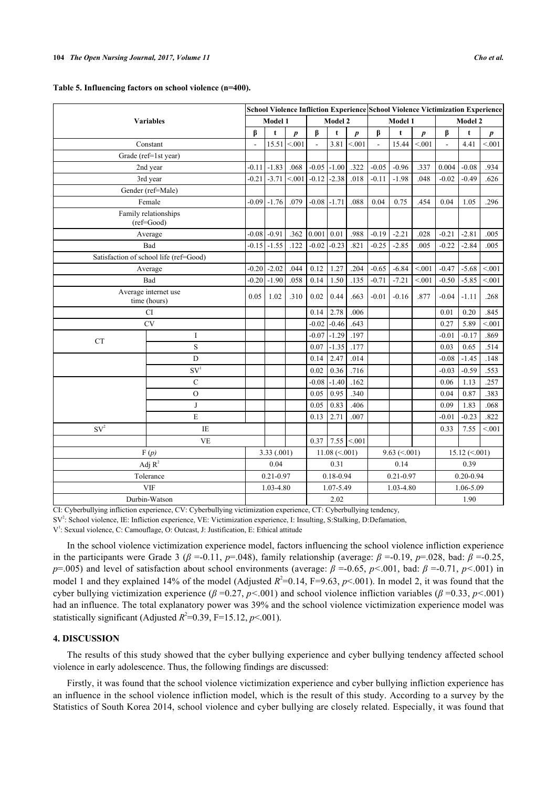<span id="page-6-0"></span>

|  |  |  |  |  |  | Table 5. Influencing factors on school violence (n=400). |  |
|--|--|--|--|--|--|----------------------------------------------------------|--|
|  |  |  |  |  |  |                                                          |  |

|           |                                        |         |                 |                  |                 |                     |                  |                    | School Violence Infliction Experience School Violence Victimization Experience |                  |                     |             |                  |  |  |
|-----------|----------------------------------------|---------|-----------------|------------------|-----------------|---------------------|------------------|--------------------|--------------------------------------------------------------------------------|------------------|---------------------|-------------|------------------|--|--|
|           | <b>Variables</b>                       |         | Model 1         |                  | Model 2         |                     |                  | Model 1            |                                                                                |                  | Model 2             |             |                  |  |  |
|           |                                        | β       | t               | $\boldsymbol{p}$ | β               | $\mathbf t$         | $\boldsymbol{p}$ | β                  | $\mathbf t$                                                                    | $\boldsymbol{p}$ | β                   | $\mathbf t$ | $\boldsymbol{p}$ |  |  |
|           | Constant                               |         | 15.51           | < 0.01           |                 | 3.81                | < 0.01           | $\mathbf{r}$       | 15.44                                                                          | < 0.01           |                     | 4.41        | < 0.01           |  |  |
|           | Grade (ref=1st year)                   |         |                 |                  |                 |                     |                  |                    |                                                                                |                  |                     |             |                  |  |  |
|           | 2nd year                               | $-0.11$ | $-1.83$         | .068             | $-0.05$ $-1.00$ |                     | .322             | $-0.05$            | $-0.96$                                                                        | .337             | 0.004               | $-0.08$     | .934             |  |  |
|           | 3rd year                               | $-0.21$ | $-3.71$         | < 0.01           | $-0.12$         | $-2.38$             | .018             | $-0.11$            | $-1.98$                                                                        | .048             | $-0.02$             | $-0.49$     | .626             |  |  |
|           | Gender (ref=Male)                      |         |                 |                  |                 |                     |                  |                    |                                                                                |                  |                     |             |                  |  |  |
|           | Female                                 |         | $-0.09$ $-1.76$ | .079             | $-0.08$ $-1.71$ |                     | .088             | 0.04               | 0.75                                                                           | .454             | 0.04                | 1.05        | .296             |  |  |
|           | Family relationships<br>(ref=Good)     |         |                 |                  |                 |                     |                  |                    |                                                                                |                  |                     |             |                  |  |  |
|           | Average                                | $-0.08$ | $-0.91$         | .362             | 0.001           | 0.01                | .988             | $-0.19$            | $-2.21$                                                                        | .028             | $-0.21$             | $-2.81$     | .005             |  |  |
|           | Bad                                    |         | $-0.15$ $-1.55$ | .122             | $-0.02$         | $-0.23$             | .821             | $-0.25$            | $-2.85$                                                                        | .005             | $-0.22$             | $-2.84$     | .005             |  |  |
|           | Satisfaction of school life (ref=Good) |         |                 |                  |                 |                     |                  |                    |                                                                                |                  |                     |             |                  |  |  |
|           | Average                                | $-0.20$ | $-2.02$         | .044             | 0.12            | 1.27                | .204             | $-0.65$            | $-6.84$                                                                        | < 0.01           | $-0.47$             | $-5.68$     | < 0.01           |  |  |
|           | Bad                                    | $-0.20$ | $-1.90$         | .058             | 0.14            | 1.50                | .135             | $-0.71$            | $-7.21$                                                                        | < 0.01           | $-0.50$             | $-5.85$     | < 0.01           |  |  |
|           | Average internet use<br>time (hours)   | 0.05    | 1.02            | .310             | 0.02            | 0.44                | .663             | $-0.01$            | $-0.16$                                                                        | .877             | $-0.04$             | $-1.11$     | .268             |  |  |
|           | <b>CI</b>                              |         |                 |                  | 0.14            | 2.78                | .006             |                    |                                                                                |                  | 0.01                | 0.20        | .845             |  |  |
|           | <b>CV</b>                              |         |                 |                  | $-0.02$         | $-0.46$             | .643             |                    |                                                                                |                  | 0.27                | 5.89        | < 0.01           |  |  |
| <b>CT</b> | I                                      |         |                 |                  | $-0.07$         | $-1.29$             | .197             |                    |                                                                                |                  | $-0.01$             | $-0.17$     | .869             |  |  |
|           | S                                      |         |                 |                  | 0.07            | $-1.35$             | .177             |                    |                                                                                |                  | 0.03                | 0.65        | .514             |  |  |
|           | D                                      |         |                 |                  | 0.14            | 2.47                | .014             |                    |                                                                                |                  | $-0.08$             | $-1.45$     | .148             |  |  |
|           | SV <sup>1</sup>                        |         |                 |                  | 0.02            | 0.36                | .716             |                    |                                                                                |                  | $-0.03$             | $-0.59$     | .553             |  |  |
|           | $\mathbf C$                            |         |                 |                  | $-0.08$         | $-1.40$             | .162             |                    |                                                                                |                  | 0.06                | 1.13        | .257             |  |  |
|           | $\mathcal{O}$                          |         |                 |                  | 0.05            | 0.95                | .340             |                    |                                                                                |                  | 0.04                | 0.87        | .383             |  |  |
|           | J                                      |         |                 |                  | 0.05            | 0.83                | .406             |                    |                                                                                |                  | 0.09                | 1.83        | .068             |  |  |
|           | E                                      |         |                 |                  | 0.13            | 2.71                | .007             |                    |                                                                                |                  | $-0.01$             | $-0.23$     | .822             |  |  |
| $SV^2$    | $\rm I\!E$                             |         |                 |                  |                 |                     |                  |                    |                                                                                |                  | 0.33                | 7.55        | < 0.01           |  |  |
|           | <b>VE</b>                              |         |                 |                  | 0.37            |                     | $7.55$ < 001     |                    |                                                                                |                  |                     |             |                  |  |  |
|           | F(p)                                   |         |                 | 3.33(0.001)      |                 | $11.08 \ (\le 001)$ |                  | $9.63 \ (\le 001)$ |                                                                                |                  | $15.12 \ (\le 001)$ |             |                  |  |  |
|           | Adj $R^2$                              |         | 0.04            |                  |                 | 0.31                |                  | 0.14               |                                                                                |                  | 0.39                |             |                  |  |  |
|           | Tolerance                              |         | $0.21 - 0.97$   |                  | $0.18 - 0.94$   |                     | $0.21 - 0.97$    |                    |                                                                                | $0.20 - 0.94$    |                     |             |                  |  |  |
|           | <b>VIF</b>                             |         | 1.03-4.80       |                  |                 | 1.07-5.49           |                  | 1.03-4.80          |                                                                                |                  | 1.06-5.09           |             |                  |  |  |
|           | Durbin-Watson                          |         |                 |                  |                 | 2.02                |                  |                    |                                                                                |                  |                     | 1.90        |                  |  |  |

CI: Cyberbullying infliction experience, CV: Cyberbullying victimization experience, CT: Cyberbullying tendency,

SV<sup>2</sup>: School violence, IE: Infliction experience, VE: Victimization experience, I: Insulting, S:Stalking, D:Defamation,

V 1 : Sexual violence, C: Camouflage, O: Outcast, J: Justification, E: Ethical attitude

In the school violence victimization experience model, factors influencing the school violence infliction experience in the participants were Grade 3 ( $\beta$  =-0.11,  $p$ =.048), family relationship (average:  $\beta$  =-0.19,  $p$ =.028, bad:  $\beta$  =-0.25, *p*=.005) and level of satisfaction about school environments (average: *β* =-0.65, *p<*.001, bad: *β* =-0.71, *p<*.001) in model 1 and they explained 14% of the model (Adjusted  $R^2$ =0.14, F=9.63,  $p$ <.001). In model 2, it was found that the cyber bullying victimization experience (*β* =0.27, *p<*.001) and school violence infliction variables (*β* =0.33, *p<*.001) had an influence. The total explanatory power was 39% and the school violence victimization experience model was statistically significant (Adjusted  $R^2$ =0.39, F=15.12, *p*<.001).

# **4. DISCUSSION**

The results of this study showed that the cyber bullying experience and cyber bullying tendency affected school violence in early adolescence. Thus, the following findings are discussed:

Firstly, it was found that the school violence victimization experience and cyber bullying infliction experience has an influence in the school violence infliction model, which is the result of this study. According to a survey by the Statistics of South Korea 2014, school violence and cyber bullying are closely related. Especially, it was found that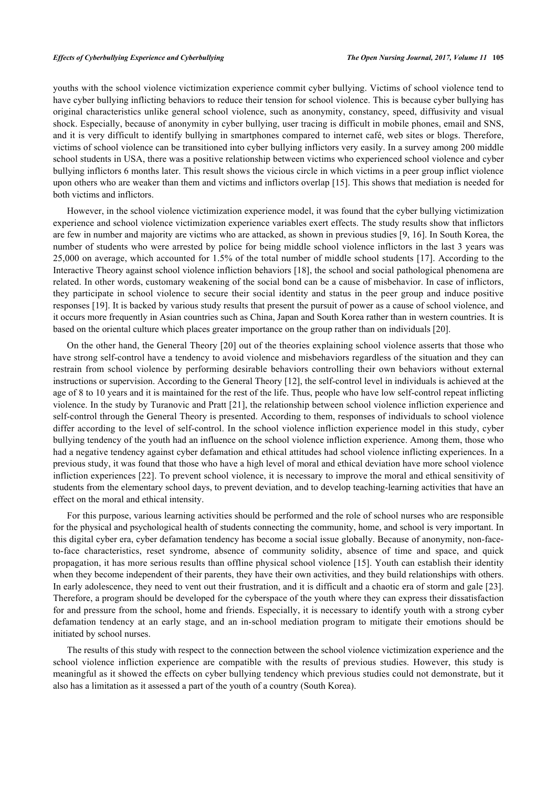youths with the school violence victimization experience commit cyber bullying. Victims of school violence tend to have cyber bullying inflicting behaviors to reduce their tension for school violence. This is because cyber bullying has original characteristics unlike general school violence, such as anonymity, constancy, speed, diffusivity and visual shock. Especially, because of anonymity in cyber bullying, user tracing is difficult in mobile phones, email and SNS, and it is very difficult to identify bullying in smartphones compared to internet café, web sites or blogs. Therefore, victims of school violence can be transitioned into cyber bullying inflictors very easily. In a survey among 200 middle school students in USA, there was a positive relationship between victims who experienced school violence and cyber bullying inflictors 6 months later. This result shows the vicious circle in which victims in a peer group inflict violence upon others who are weaker than them and victims and inflictors overlap [\[15\]](#page-9-3). This shows that mediation is needed for both victims and inflictors.

However, in the school violence victimization experience model, it was found that the cyber bullying victimization experience and school violence victimization experience variables exert effects. The study results show that inflictors are few in number and majority are victims who are attacked, as shown in previous studies [\[9](#page-8-8), [16\]](#page-9-4). In South Korea, the number of students who were arrested by police for being middle school violence inflictors in the last 3 years was 25,000 on average, which accounted for 1.5% of the total number of middle school students [[17](#page-9-5)]. According to the Interactive Theory against school violence infliction behaviors [[18\]](#page-9-6), the school and social pathological phenomena are related. In other words, customary weakening of the social bond can be a cause of misbehavior. In case of inflictors, they participate in school violence to secure their social identity and status in the peer group and induce positive responses [[19\]](#page-9-7). It is backed by various study results that present the pursuit of power as a cause of school violence, and it occurs more frequently in Asian countries such as China, Japan and South Korea rather than in western countries. It is based on the oriental culture which places greater importance on the group rather than on individuals [\[20](#page-9-8)].

On the other hand, the General Theory [[20](#page-9-8)] out of the theories explaining school violence asserts that those who have strong self-control have a tendency to avoid violence and misbehaviors regardless of the situation and they can restrain from school violence by performing desirable behaviors controlling their own behaviors without external instructions or supervision. According to the General Theory [\[12\]](#page-9-0), the self-control level in individuals is achieved at the age of 8 to 10 years and it is maintained for the rest of the life. Thus, people who have low self-control repeat inflicting violence. In the study by Turanovic and Pratt [\[21\]](#page-9-9), the relationship between school violence infliction experience and self-control through the General Theory is presented. According to them, responses of individuals to school violence differ according to the level of self-control. In the school violence infliction experience model in this study, cyber bullying tendency of the youth had an influence on the school violence infliction experience. Among them, those who had a negative tendency against cyber defamation and ethical attitudes had school violence inflicting experiences. In a previous study, it was found that those who have a high level of moral and ethical deviation have more school violence infliction experiences [\[22\]](#page-9-10). To prevent school violence, it is necessary to improve the moral and ethical sensitivity of students from the elementary school days, to prevent deviation, and to develop teaching-learning activities that have an effect on the moral and ethical intensity.

For this purpose, various learning activities should be performed and the role of school nurses who are responsible for the physical and psychological health of students connecting the community, home, and school is very important. In this digital cyber era, cyber defamation tendency has become a social issue globally. Because of anonymity, non-faceto-face characteristics, reset syndrome, absence of community solidity, absence of time and space, and quick propagation, it has more serious results than offline physical school violence [[15\]](#page-9-3). Youth can establish their identity when they become independent of their parents, they have their own activities, and they build relationships with others. In early adolescence, they need to vent out their frustration, and it is difficult and a chaotic era of storm and gale [[23\]](#page-9-11). Therefore, a program should be developed for the cyberspace of the youth where they can express their dissatisfaction for and pressure from the school, home and friends. Especially, it is necessary to identify youth with a strong cyber defamation tendency at an early stage, and an in-school mediation program to mitigate their emotions should be initiated by school nurses.

The results of this study with respect to the connection between the school violence victimization experience and the school violence infliction experience are compatible with the results of previous studies. However, this study is meaningful as it showed the effects on cyber bullying tendency which previous studies could not demonstrate, but it also has a limitation as it assessed a part of the youth of a country (South Korea).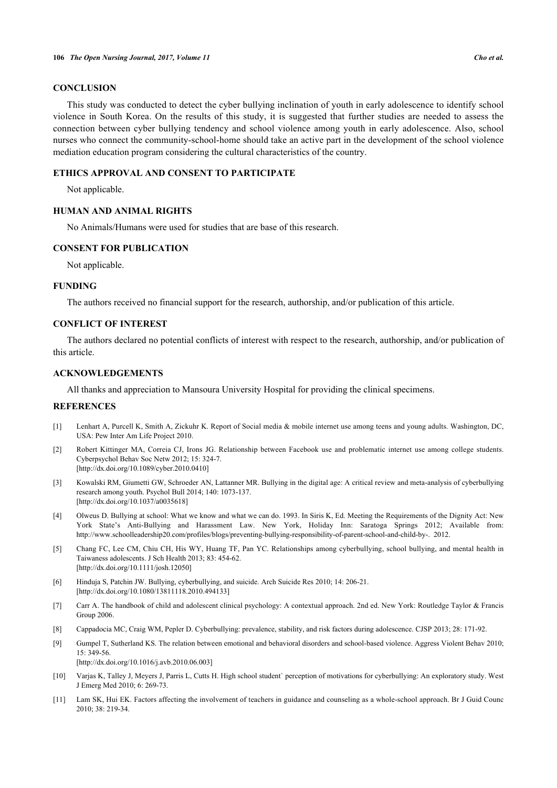# **CONCLUSION**

This study was conducted to detect the cyber bullying inclination of youth in early adolescence to identify school violence in South Korea. On the results of this study, it is suggested that further studies are needed to assess the connection between cyber bullying tendency and school violence among youth in early adolescence. Also, school nurses who connect the community-school-home should take an active part in the development of the school violence mediation education program considering the cultural characteristics of the country.

#### **ETHICS APPROVAL AND CONSENT TO PARTICIPATE**

Not applicable.

# **HUMAN AND ANIMAL RIGHTS**

No Animals/Humans were used for studies that are base of this research.

#### **CONSENT FOR PUBLICATION**

Not applicable.

#### **FUNDING**

The authors received no financial support for the research, authorship, and/or publication of this article.

# **CONFLICT OF INTEREST**

The authors declared no potential conflicts of interest with respect to the research, authorship, and/or publication of this article.

# **ACKNOWLEDGEMENTS**

All thanks and appreciation to Mansoura University Hospital for providing the clinical specimens.

# **REFERENCES**

- <span id="page-8-0"></span>[1] Lenhart A, Purcell K, Smith A, Zickuhr K. Report of Social media & mobile internet use among teens and young adults. Washington, DC, USA: Pew Inter Am Life Project 2010.
- <span id="page-8-1"></span>[2] Robert Kittinger MA, Correia CJ, Irons JG. Relationship between Facebook use and problematic internet use among college students. Cyberpsychol Behav Soc Netw 2012; 15: 324-7. [\[http://dx.doi.org/10.1089/cyber.2010.0410\]](http://dx.doi.org/10.1089/cyber.2010.0410)
- <span id="page-8-2"></span>[3] Kowalski RM, Giumetti GW, Schroeder AN, Lattanner MR. Bullying in the digital age: A critical review and meta-analysis of cyberbullying research among youth. Psychol Bull 2014; 140: 1073-137. [\[http://dx.doi.org/10.1037/a0035618](http://dx.doi.org/10.1037/a0035618)]
- <span id="page-8-3"></span>[4] Olweus D. Bullying at school: What we know and what we can do. 1993. In Siris K, Ed. Meeting the Requirements of the Dignity Act: New York State's Anti-Bullying and Harassment Law. New York, Holiday Inn: Saratoga Springs 2012; Available from: [http://www.schoolleadership20.com/profiles/blogs/preventing-bullying-responsibility-of-parent-school-and-child-by-.](http://www.schoolleadership20.com/profiles/blogs/preventing-bullying-responsibility-of-parent-school-and-child-by-) 2012.
- <span id="page-8-4"></span>[5] Chang FC, Lee CM, Chiu CH, His WY, Huang TF, Pan YC. Relationships among cyberbullying, school bullying, and mental health in Taiwaness adolescents. J Sch Health 2013; 83: 454-62. [\[http://dx.doi.org/10.1111/josh.12050](http://dx.doi.org/10.1111/josh.12050)]
- <span id="page-8-5"></span>[6] Hinduja S, Patchin JW. Bullying, cyberbullying, and suicide. Arch Suicide Res 2010; 14: 206-21. [\[http://dx.doi.org/10.1080/13811118.2010.494133\]](http://dx.doi.org/10.1080/13811118.2010.494133)
- <span id="page-8-6"></span>[7] Carr A. The handbook of child and adolescent clinical psychology: A contextual approach. 2nd ed. New York: Routledge Taylor & Francis Group 2006.
- <span id="page-8-7"></span>[8] Cappadocia MC, Craig WM, Pepler D. Cyberbullying: prevalence, stability, and risk factors during adolescence. CJSP 2013; 28: 171-92.
- <span id="page-8-8"></span>[9] Gumpel T, Sutherland KS. The relation between emotional and behavioral disorders and school-based violence. Aggress Violent Behav 2010; 15: 349-56. [\[http://dx.doi.org/10.1016/j.avb.2010.06.003\]](http://dx.doi.org/10.1016/j.avb.2010.06.003)
- <span id="page-8-9"></span>[10] Varjas K, Talley J, Meyers J, Parris L, Cutts H. High school student` perception of motivations for cyberbullying: An exploratory study. West J Emerg Med 2010; 6: 269-73.
- <span id="page-8-10"></span>[11] Lam SK, Hui EK. Factors affecting the involvement of teachers in guidance and counseling as a whole-school approach. Br J Guid Counc 2010; 38: 219-34.